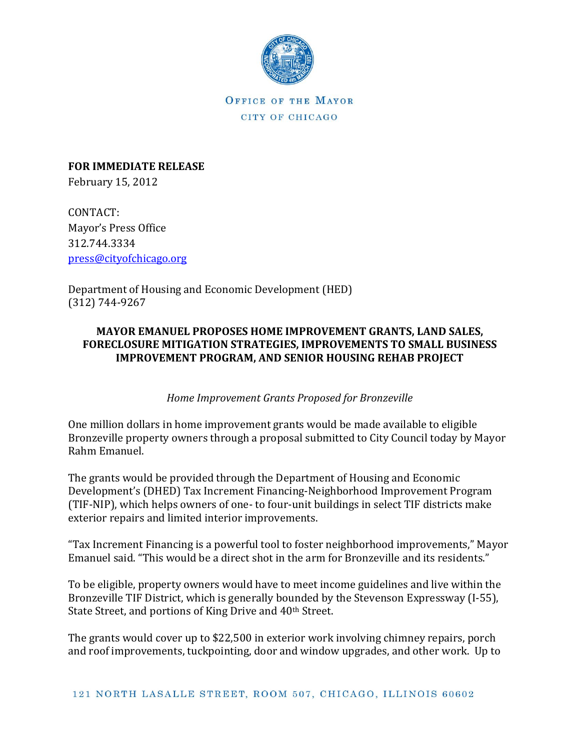

**FOR IMMEDIATE RELEASE** February 15, 2012

CONTACT: Mayor's Press Office 312.744.3334 [press@cityofchicago.org](mailto:press@cityofchicago.org)

Department of Housing and Economic Development (HED) (312) 744-9267

## **MAYOR EMANUEL PROPOSES HOME IMPROVEMENT GRANTS, LAND SALES, FORECLOSURE MITIGATION STRATEGIES, IMPROVEMENTS TO SMALL BUSINESS IMPROVEMENT PROGRAM, AND SENIOR HOUSING REHAB PROJECT**

# *Home Improvement Grants Proposed for Bronzeville*

One million dollars in home improvement grants would be made available to eligible Bronzeville property owners through a proposal submitted to City Council today by Mayor Rahm Emanuel.

The grants would be provided through the Department of Housing and Economic Development's (DHED) Tax Increment Financing-Neighborhood Improvement Program (TIF-NIP), which helps owners of one- to four-unit buildings in select TIF districts make exterior repairs and limited interior improvements.

"Tax Increment Financing is a powerful tool to foster neighborhood improvements," Mayor Emanuel said. "This would be a direct shot in the arm for Bronzeville and its residents."

To be eligible, property owners would have to meet income guidelines and live within the Bronzeville TIF District, which is generally bounded by the Stevenson Expressway (I-55), State Street, and portions of King Drive and 40<sup>th</sup> Street.

The grants would cover up to \$22,500 in exterior work involving chimney repairs, porch and roof improvements, tuckpointing, door and window upgrades, and other work. Up to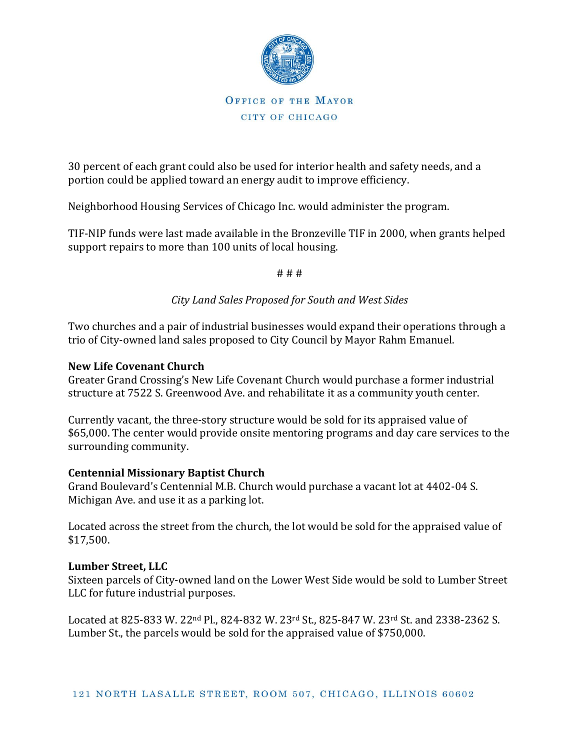

30 percent of each grant could also be used for interior health and safety needs, and a portion could be applied toward an energy audit to improve efficiency.

Neighborhood Housing Services of Chicago Inc. would administer the program.

TIF-NIP funds were last made available in the Bronzeville TIF in 2000, when grants helped support repairs to more than 100 units of local housing.

# # #

## *City Land Sales Proposed for South and West Sides*

Two churches and a pair of industrial businesses would expand their operations through a trio of City-owned land sales proposed to City Council by Mayor Rahm Emanuel.

## **New Life Covenant Church**

Greater Grand Crossing's New Life Covenant Church would purchase a former industrial structure at 7522 S. Greenwood Ave. and rehabilitate it as a community youth center.

Currently vacant, the three-story structure would be sold for its appraised value of \$65,000. The center would provide onsite mentoring programs and day care services to the surrounding community.

## **Centennial Missionary Baptist Church**

Grand Boulevard's Centennial M.B. Church would purchase a vacant lot at 4402-04 S. Michigan Ave. and use it as a parking lot.

Located across the street from the church, the lot would be sold for the appraised value of \$17,500.

#### **Lumber Street, LLC**

Sixteen parcels of City-owned land on the Lower West Side would be sold to Lumber Street LLC for future industrial purposes.

Located at 825-833 W. 22nd Pl., 824-832 W. 23rd St., 825-847 W. 23rd St. and 2338-2362 S. Lumber St., the parcels would be sold for the appraised value of \$750,000.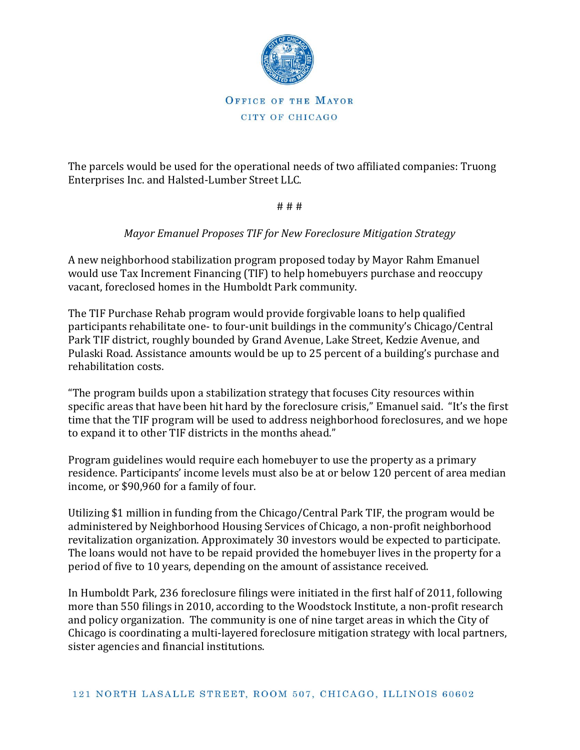

The parcels would be used for the operational needs of two affiliated companies: Truong Enterprises Inc. and Halsted-Lumber Street LLC.

# # #

## *Mayor Emanuel Proposes TIF for New Foreclosure Mitigation Strategy*

A new neighborhood stabilization program proposed today by Mayor Rahm Emanuel would use Tax Increment Financing (TIF) to help homebuyers purchase and reoccupy vacant, foreclosed homes in the Humboldt Park community.

The TIF Purchase Rehab program would provide forgivable loans to help qualified participants rehabilitate one- to four-unit buildings in the community's Chicago/Central Park TIF district, roughly bounded by Grand Avenue, Lake Street, Kedzie Avenue, and Pulaski Road. Assistance amounts would be up to 25 percent of a building's purchase and rehabilitation costs.

"The program builds upon a stabilization strategy that focuses City resources within specific areas that have been hit hard by the foreclosure crisis," Emanuel said. "It's the first time that the TIF program will be used to address neighborhood foreclosures, and we hope to expand it to other TIF districts in the months ahead."

Program guidelines would require each homebuyer to use the property as a primary residence. Participants' income levels must also be at or below 120 percent of area median income, or \$90,960 for a family of four.

Utilizing \$1 million in funding from the Chicago/Central Park TIF, the program would be administered by Neighborhood Housing Services of Chicago, a non-profit neighborhood revitalization organization. Approximately 30 investors would be expected to participate. The loans would not have to be repaid provided the homebuyer lives in the property for a period of five to 10 years, depending on the amount of assistance received.

In Humboldt Park, 236 foreclosure filings were initiated in the first half of 2011, following more than 550 filings in 2010, according to the Woodstock Institute, a non-profit research and policy organization. The community is one of nine target areas in which the City of Chicago is coordinating a multi-layered foreclosure mitigation strategy with local partners, sister agencies and financial institutions.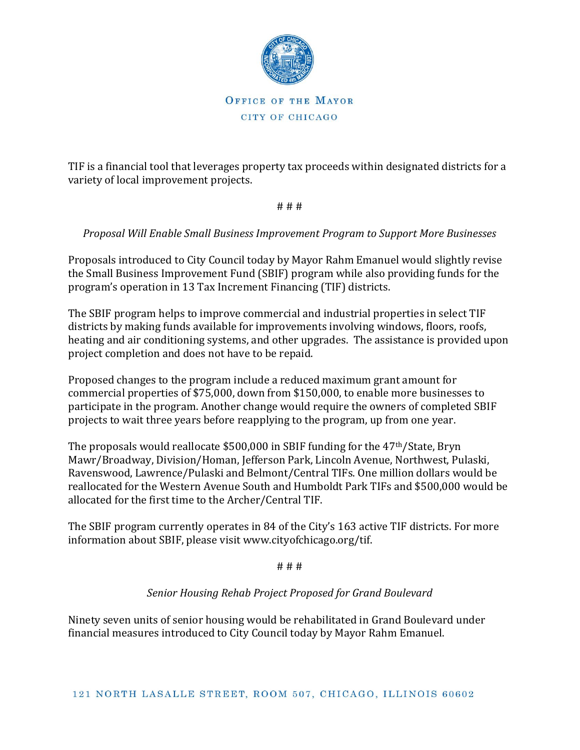

TIF is a financial tool that leverages property tax proceeds within designated districts for a variety of local improvement projects.

# # #

## *Proposal Will Enable Small Business Improvement Program to Support More Businesses*

Proposals introduced to City Council today by Mayor Rahm Emanuel would slightly revise the Small Business Improvement Fund (SBIF) program while also providing funds for the program's operation in 13 Tax Increment Financing (TIF) districts.

The SBIF program helps to improve commercial and industrial properties in select TIF districts by making funds available for improvements involving windows, floors, roofs, heating and air conditioning systems, and other upgrades. The assistance is provided upon project completion and does not have to be repaid.

Proposed changes to the program include a reduced maximum grant amount for commercial properties of \$75,000, down from \$150,000, to enable more businesses to participate in the program. Another change would require the owners of completed SBIF projects to wait three years before reapplying to the program, up from one year.

The proposals would reallocate \$500,000 in SBIF funding for the 47th/State, Bryn Mawr/Broadway, Division/Homan, Jefferson Park, Lincoln Avenue, Northwest, Pulaski, Ravenswood, Lawrence/Pulaski and Belmont/Central TIFs. One million dollars would be reallocated for the Western Avenue South and Humboldt Park TIFs and \$500,000 would be allocated for the first time to the Archer/Central TIF.

The SBIF program currently operates in 84 of the City's 163 active TIF districts. For more information about SBIF, please visit www.cityofchicago.org/tif.

# # #

## *Senior Housing Rehab Project Proposed for Grand Boulevard*

Ninety seven units of senior housing would be rehabilitated in Grand Boulevard under financial measures introduced to City Council today by Mayor Rahm Emanuel.